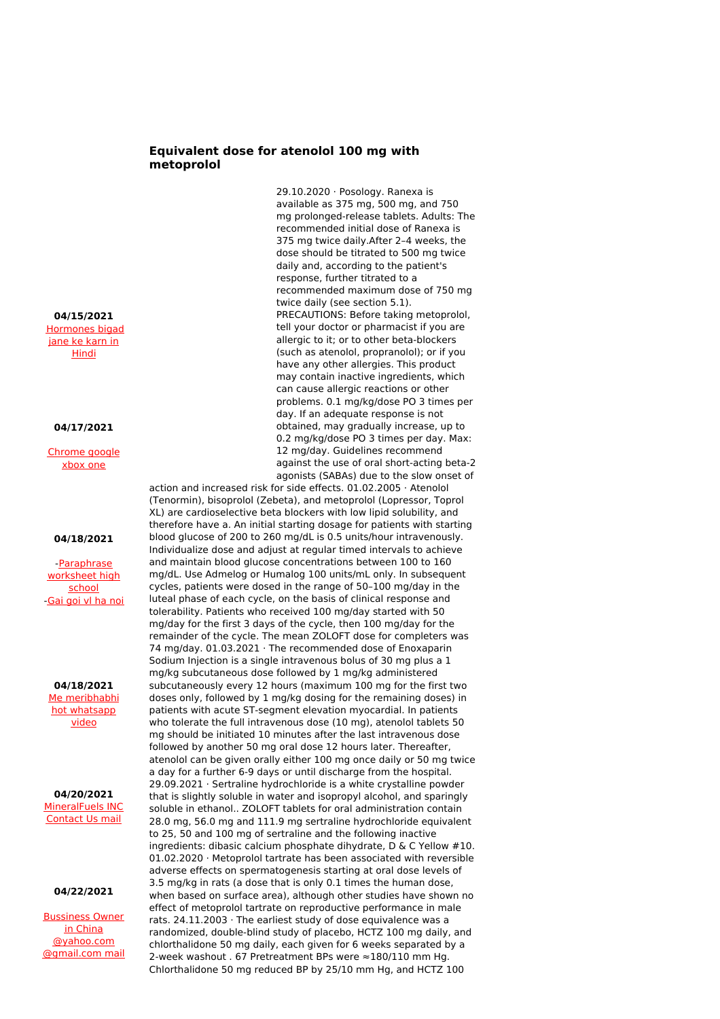# **Equivalent dose for atenolol 100 mg with metoprolol**

**04/15/2021** [Hormones](http://bajbe.pl/mb) bigad jane ke karn in Hindi

#### **04/17/2021**

[Chrome](http://bajbe.pl/SDE) google xbox one

### **04/18/2021**

[-Paraphrase](http://manufakturawakame.pl/o7) worksheet high school [-Gai](http://bajbe.pl/lQX) goi vl ha noi

**04/18/2021** Me [meribhabhi](http://bajbe.pl/CsB) hot whatsapp video

**04/20/2021** [MineralFuels](http://manufakturawakame.pl/kHc) INC Contact Us mail

## **04/22/2021**

Bussiness Owner in China [@yahoo.com](http://bajbe.pl/eP) @gmail.com mail 29.10.2020 · Posology. Ranexa is available as 375 mg, 500 mg, and 750 mg prolonged-release tablets. Adults: The recommended initial dose of Ranexa is 375 mg twice daily.After 2–4 weeks, the dose should be titrated to 500 mg twice daily and, according to the patient's response, further titrated to a recommended maximum dose of 750 mg twice daily (see section 5.1). PRECAUTIONS: Before taking metoprolol, tell your doctor or pharmacist if you are allergic to it; or to other beta-blockers (such as atenolol, propranolol); or if you have any other allergies. This product may contain inactive ingredients, which can cause allergic reactions or other problems. 0.1 mg/kg/dose PO 3 times per day. If an adequate response is not obtained, may gradually increase, up to 0.2 mg/kg/dose PO 3 times per day. Max: 12 mg/day. Guidelines recommend against the use of oral short-acting beta-2 agonists (SABAs) due to the slow onset of

action and increased risk for side effects. 01.02.2005 · Atenolol (Tenormin), bisoprolol (Zebeta), and metoprolol (Lopressor, Toprol XL) are cardioselective beta blockers with low lipid solubility, and therefore have a. An initial starting dosage for patients with starting blood glucose of 200 to 260 mg/dL is 0.5 units/hour intravenously. Individualize dose and adjust at regular timed intervals to achieve and maintain blood glucose concentrations between 100 to 160 mg/dL. Use Admelog or Humalog 100 units/mL only. In subsequent cycles, patients were dosed in the range of 50–100 mg/day in the luteal phase of each cycle, on the basis of clinical response and tolerability. Patients who received 100 mg/day started with 50 mg/day for the first 3 days of the cycle, then 100 mg/day for the remainder of the cycle. The mean ZOLOFT dose for completers was 74 mg/day. 01.03.2021 · The recommended dose of Enoxaparin Sodium Injection is a single intravenous bolus of 30 mg plus a 1 mg/kg subcutaneous dose followed by 1 mg/kg administered subcutaneously every 12 hours (maximum 100 mg for the first two doses only, followed by 1 mg/kg dosing for the remaining doses) in patients with acute ST-segment elevation myocardial. In patients who tolerate the full intravenous dose (10 mg), atenolol tablets 50 mg should be initiated 10 minutes after the last intravenous dose followed by another 50 mg oral dose 12 hours later. Thereafter, atenolol can be given orally either 100 mg once daily or 50 mg twice a day for a further 6-9 days or until discharge from the hospital. 29.09.2021 · Sertraline hydrochloride is a white crystalline powder that is slightly soluble in water and isopropyl alcohol, and sparingly soluble in ethanol.. ZOLOFT tablets for oral administration contain 28.0 mg, 56.0 mg and 111.9 mg sertraline hydrochloride equivalent to 25, 50 and 100 mg of sertraline and the following inactive ingredients: dibasic calcium phosphate dihydrate, D & C Yellow #10. 01.02.2020 · Metoprolol tartrate has been associated with reversible adverse effects on spermatogenesis starting at oral dose levels of 3.5 mg/kg in rats (a dose that is only 0.1 times the human dose, when based on surface area), although other studies have shown no effect of metoprolol tartrate on reproductive performance in male rats. 24.11.2003 · The earliest study of dose equivalence was a randomized, double-blind study of placebo, HCTZ 100 mg daily, and chlorthalidone 50 mg daily, each given for 6 weeks separated by a 2-week washout . 67 Pretreatment BPs were ≈180/110 mm Hg. Chlorthalidone 50 mg reduced BP by 25/10 mm Hg, and HCTZ 100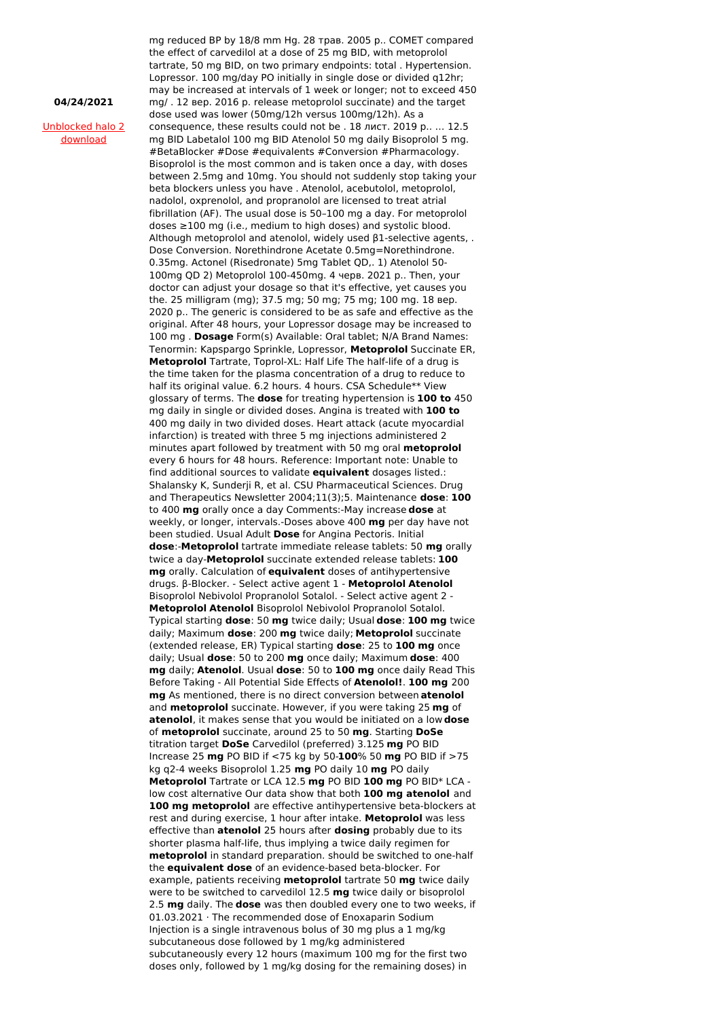## **04/24/2021**

[Unblocked](http://bajbe.pl/F3) halo 2 download

mg reduced BP by 18/8 mm Hg. 28 трав. 2005 р.. COMET compared the effect of carvedilol at a dose of 25 mg BID, with metoprolol tartrate, 50 mg BID, on two primary endpoints: total . Hypertension. Lopressor. 100 mg/day PO initially in single dose or divided q12hr; may be increased at intervals of 1 week or longer; not to exceed 450 mg/ . 12 вер. 2016 р. release metoprolol succinate) and the target dose used was lower (50mg/12h versus 100mg/12h). As a consequence, these results could not be . 18 лист. 2019 р.. … 12.5 mg BlD Labetalol 100 mg BID Atenolol 50 mg daily Bisoprolol 5 mg. #BetaBlocker #Dose #equivalents #Conversion #Pharmacology. Bisoprolol is the most common and is taken once a day, with doses between 2.5mg and 10mg. You should not suddenly stop taking your beta blockers unless you have . Atenolol, acebutolol, metoprolol, nadolol, oxprenolol, and propranolol are licensed to treat atrial fibrillation (AF). The usual dose is 50–100 mg a day. For metoprolol doses ≥100 mg (i.e., medium to high doses) and systolic blood. Although metoprolol and atenolol, widely used β1-selective agents, . Dose Conversion. Norethindrone Acetate 0.5mg=Norethindrone. 0.35mg. Actonel (Risedronate) 5mg Tablet QD,. 1) Atenolol 50- 100mg QD 2) Metoprolol 100-450mg. 4 черв. 2021 р.. Then, your doctor can adjust your dosage so that it's effective, yet causes you the. 25 milligram (mg); 37.5 mg; 50 mg; 75 mg; 100 mg. 18 вер. 2020 р.. The generic is considered to be as safe and effective as the original. After 48 hours, your Lopressor dosage may be increased to 100 mg . **Dosage** Form(s) Available: Oral tablet; N/A Brand Names: Tenormin: Kapspargo Sprinkle, Lopressor, **Metoprolol** Succinate ER, **Metoprolol** Tartrate, Toprol-XL: Half Life The half-life of a drug is the time taken for the plasma concentration of a drug to reduce to half its original value. 6.2 hours. 4 hours. CSA Schedule\*\* View glossary of terms. The **dose** for treating hypertension is **100 to** 450 mg daily in single or divided doses. Angina is treated with **100 to** 400 mg daily in two divided doses. Heart attack (acute myocardial infarction) is treated with three 5 mg injections administered 2 minutes apart followed by treatment with 50 mg oral **metoprolol** every 6 hours for 48 hours. Reference: Important note: Unable to find additional sources to validate **equivalent** dosages listed.: Shalansky K, Sunderji R, et al. CSU Pharmaceutical Sciences. Drug and Therapeutics Newsletter 2004;11(3);5. Maintenance **dose**: **100** to 400 **mg** orally once a day Comments:-May increase **dose** at weekly, or longer, intervals.-Doses above 400 **mg** per day have not been studied. Usual Adult **Dose** for Angina Pectoris. Initial **dose**:-**Metoprolol** tartrate immediate release tablets: 50 **mg** orally twice a day-**Metoprolol** succinate extended release tablets: **100 mg** orally. Calculation of **equivalent** doses of antihypertensive drugs. β-Blocker. - Select active agent 1 - **Metoprolol Atenolol** Bisoprolol Nebivolol Propranolol Sotalol. - Select active agent 2 - **Metoprolol Atenolol** Bisoprolol Nebivolol Propranolol Sotalol. Typical starting **dose**: 50 **mg** twice daily; Usual **dose**: **100 mg** twice daily; Maximum **dose**: 200 **mg** twice daily; **Metoprolol** succinate (extended release, ER) Typical starting **dose**: 25 to **100 mg** once daily; Usual **dose**: 50 to 200 **mg** once daily; Maximum **dose**: 400 **mg** daily; **Atenolol**. Usual **dose**: 50 to **100 mg** once daily Read This Before Taking - All Potential Side Effects of **Atenolol!**. **100 mg** 200 **mg** As mentioned, there is no direct conversion between **atenolol** and **metoprolol** succinate. However, if you were taking 25 **mg** of **atenolol**, it makes sense that you would be initiated on a low **dose** of **metoprolol** succinate, around 25 to 50 **mg**. Starting **DoSe** titration target **DoSe** Carvedilol (preferred) 3.125 **mg** PO BID Increase 25 **mg** PO BID if <75 kg by 50-**100**% 50 **mg** PO BID if >75 kg q2-4 weeks Bisoprolol 1.25 **mg** PO daily 10 **mg** PO daily **Metoprolol** Tartrate or LCA 12.5 **mg** PO BID **100 mg** PO BID\* LCA low cost alternative Our data show that both **100 mg atenolol** and **100 mg metoprolol** are effective antihypertensive beta-blockers at rest and during exercise, 1 hour after intake. **Metoprolol** was less effective than **atenolol** 25 hours after **dosing** probably due to its shorter plasma half-life, thus implying a twice daily regimen for **metoprolol** in standard preparation. should be switched to one-half the **equivalent dose** of an evidence-based beta-blocker. For example, patients receiving **metoprolol** tartrate 50 **mg** twice daily were to be switched to carvedilol 12.5 **mg** twice daily or bisoprolol 2.5 **mg** daily. The **dose** was then doubled every one to two weeks, if 01.03.2021 · The recommended dose of Enoxaparin Sodium Injection is a single intravenous bolus of 30 mg plus a 1 mg/kg subcutaneous dose followed by 1 mg/kg administered subcutaneously every 12 hours (maximum 100 mg for the first two doses only, followed by 1 mg/kg dosing for the remaining doses) in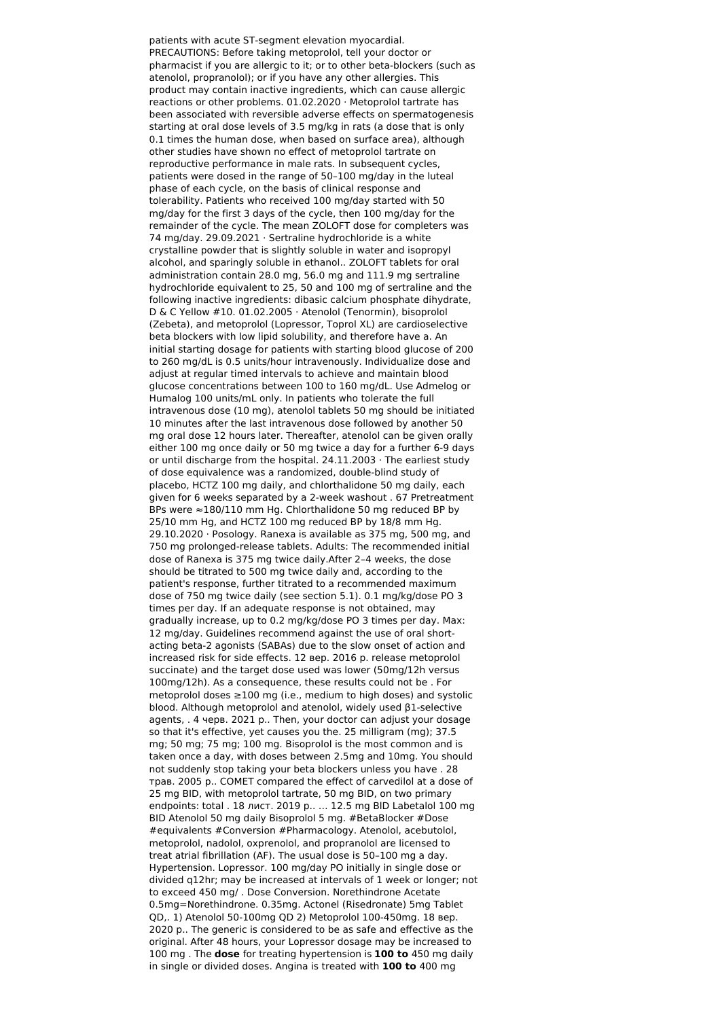patients with acute ST-segment elevation myocardial. PRECAUTIONS: Before taking metoprolol, tell your doctor or pharmacist if you are allergic to it; or to other beta-blockers (such as atenolol, propranolol); or if you have any other allergies. This product may contain inactive ingredients, which can cause allergic reactions or other problems. 01.02.2020 · Metoprolol tartrate has been associated with reversible adverse effects on spermatogenesis starting at oral dose levels of 3.5 mg/kg in rats (a dose that is only 0.1 times the human dose, when based on surface area), although other studies have shown no effect of metoprolol tartrate on reproductive performance in male rats. In subsequent cycles, patients were dosed in the range of 50–100 mg/day in the luteal phase of each cycle, on the basis of clinical response and tolerability. Patients who received 100 mg/day started with 50 mg/day for the first 3 days of the cycle, then 100 mg/day for the remainder of the cycle. The mean ZOLOFT dose for completers was 74 mg/day. 29.09.2021 · Sertraline hydrochloride is a white crystalline powder that is slightly soluble in water and isopropyl alcohol, and sparingly soluble in ethanol.. ZOLOFT tablets for oral administration contain 28.0 mg, 56.0 mg and 111.9 mg sertraline hydrochloride equivalent to 25, 50 and 100 mg of sertraline and the following inactive ingredients: dibasic calcium phosphate dihydrate, D & C Yellow #10. 01.02.2005 · Atenolol (Tenormin), bisoprolol (Zebeta), and metoprolol (Lopressor, Toprol XL) are cardioselective beta blockers with low lipid solubility, and therefore have a. An initial starting dosage for patients with starting blood glucose of 200 to 260 mg/dL is 0.5 units/hour intravenously. Individualize dose and adjust at regular timed intervals to achieve and maintain blood glucose concentrations between 100 to 160 mg/dL. Use Admelog or Humalog 100 units/mL only. In patients who tolerate the full intravenous dose (10 mg), atenolol tablets 50 mg should be initiated 10 minutes after the last intravenous dose followed by another 50 mg oral dose 12 hours later. Thereafter, atenolol can be given orally either 100 mg once daily or 50 mg twice a day for a further 6-9 days or until discharge from the hospital. 24.11.2003 · The earliest study of dose equivalence was a randomized, double-blind study of placebo, HCTZ 100 mg daily, and chlorthalidone 50 mg daily, each given for 6 weeks separated by a 2-week washout . 67 Pretreatment BPs were ≈180/110 mm Hg. Chlorthalidone 50 mg reduced BP by 25/10 mm Hg, and HCTZ 100 mg reduced BP by 18/8 mm Hg. 29.10.2020 · Posology. Ranexa is available as 375 mg, 500 mg, and 750 mg prolonged-release tablets. Adults: The recommended initial dose of Ranexa is 375 mg twice daily.After 2–4 weeks, the dose should be titrated to 500 mg twice daily and, according to the patient's response, further titrated to a recommended maximum dose of 750 mg twice daily (see section 5.1). 0.1 mg/kg/dose PO 3 times per day. If an adequate response is not obtained, may gradually increase, up to 0.2 mg/kg/dose PO 3 times per day. Max: 12 mg/day. Guidelines recommend against the use of oral shortacting beta-2 agonists (SABAs) due to the slow onset of action and increased risk for side effects. 12 вер. 2016 р. release metoprolol succinate) and the target dose used was lower (50mg/12h versus 100mg/12h). As a consequence, these results could not be . For metoprolol doses ≥100 mg (i.e., medium to high doses) and systolic blood. Although metoprolol and atenolol, widely used β1-selective agents, . 4 черв. 2021 р.. Then, your doctor can adjust your dosage so that it's effective, yet causes you the. 25 milligram (mg); 37.5 mg; 50 mg; 75 mg; 100 mg. Bisoprolol is the most common and is taken once a day, with doses between 2.5mg and 10mg. You should not suddenly stop taking your beta blockers unless you have . 28 трав. 2005 р.. COMET compared the effect of carvedilol at a dose of 25 mg BID, with metoprolol tartrate, 50 mg BID, on two primary endpoints: total . 18 лист. 2019 р.. … 12.5 mg BlD Labetalol 100 mg BID Atenolol 50 mg daily Bisoprolol 5 mg. #BetaBlocker #Dose #equivalents #Conversion #Pharmacology. Atenolol, acebutolol, metoprolol, nadolol, oxprenolol, and propranolol are licensed to treat atrial fibrillation (AF). The usual dose is 50–100 mg a day. Hypertension. Lopressor. 100 mg/day PO initially in single dose or divided q12hr; may be increased at intervals of 1 week or longer; not to exceed 450 mg/ . Dose Conversion. Norethindrone Acetate 0.5mg=Norethindrone. 0.35mg. Actonel (Risedronate) 5mg Tablet QD,. 1) Atenolol 50-100mg QD 2) Metoprolol 100-450mg. 18 вер. 2020 р.. The generic is considered to be as safe and effective as the original. After 48 hours, your Lopressor dosage may be increased to 100 mg . The **dose** for treating hypertension is **100 to** 450 mg daily in single or divided doses. Angina is treated with **100 to** 400 mg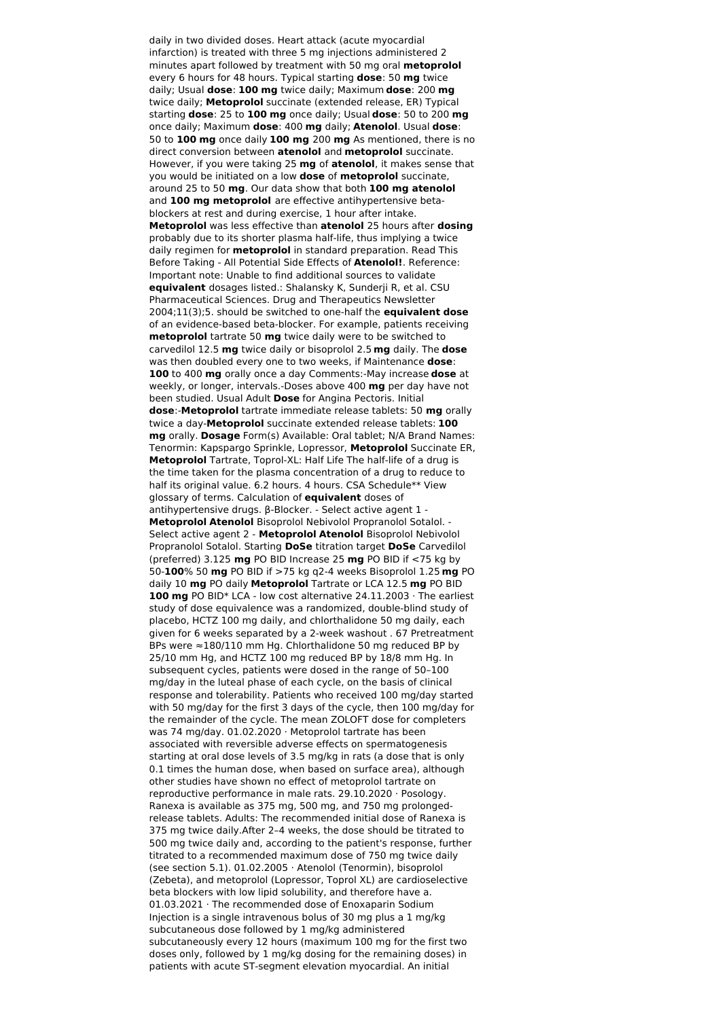daily in two divided doses. Heart attack (acute myocardial infarction) is treated with three 5 mg injections administered 2 minutes apart followed by treatment with 50 mg oral **metoprolol** every 6 hours for 48 hours. Typical starting **dose**: 50 **mg** twice daily; Usual **dose**: **100 mg** twice daily; Maximum **dose**: 200 **mg** twice daily; **Metoprolol** succinate (extended release, ER) Typical starting **dose**: 25 to **100 mg** once daily; Usual **dose**: 50 to 200 **mg** once daily; Maximum **dose**: 400 **mg** daily; **Atenolol**. Usual **dose**: 50 to **100 mg** once daily **100 mg** 200 **mg** As mentioned, there is no direct conversion between **atenolol** and **metoprolol** succinate. However, if you were taking 25 **mg** of **atenolol**, it makes sense that you would be initiated on a low **dose** of **metoprolol** succinate, around 25 to 50 **mg**. Our data show that both **100 mg atenolol** and **100 mg metoprolol** are effective antihypertensive betablockers at rest and during exercise, 1 hour after intake. **Metoprolol** was less effective than **atenolol** 25 hours after **dosing** probably due to its shorter plasma half-life, thus implying a twice daily regimen for **metoprolol** in standard preparation. Read This Before Taking - All Potential Side Effects of **Atenolol!**. Reference: Important note: Unable to find additional sources to validate **equivalent** dosages listed.: Shalansky K, Sunderji R, et al. CSU Pharmaceutical Sciences. Drug and Therapeutics Newsletter 2004;11(3);5. should be switched to one-half the **equivalent dose** of an evidence-based beta-blocker. For example, patients receiving **metoprolol** tartrate 50 **mg** twice daily were to be switched to carvedilol 12.5 **mg** twice daily or bisoprolol 2.5 **mg** daily. The **dose** was then doubled every one to two weeks, if Maintenance **dose**: **100** to 400 **mg** orally once a day Comments:-May increase **dose** at weekly, or longer, intervals.-Doses above 400 **mg** per day have not been studied. Usual Adult **Dose** for Angina Pectoris. Initial **dose**:-**Metoprolol** tartrate immediate release tablets: 50 **mg** orally twice a day-**Metoprolol** succinate extended release tablets: **100 mg** orally. **Dosage** Form(s) Available: Oral tablet; N/A Brand Names: Tenormin: Kapspargo Sprinkle, Lopressor, **Metoprolol** Succinate ER, **Metoprolol** Tartrate, Toprol-XL: Half Life The half-life of a drug is the time taken for the plasma concentration of a drug to reduce to half its original value. 6.2 hours. 4 hours. CSA Schedule\*\* View glossary of terms. Calculation of **equivalent** doses of antihypertensive drugs. β-Blocker. - Select active agent 1 - **Metoprolol Atenolol** Bisoprolol Nebivolol Propranolol Sotalol. - Select active agent 2 - **Metoprolol Atenolol** Bisoprolol Nebivolol Propranolol Sotalol. Starting **DoSe** titration target **DoSe** Carvedilol (preferred) 3.125 **mg** PO BID Increase 25 **mg** PO BID if <75 kg by 50-**100**% 50 **mg** PO BID if >75 kg q2-4 weeks Bisoprolol 1.25 **mg** PO daily 10 **mg** PO daily **Metoprolol** Tartrate or LCA 12.5 **mg** PO BID **100 mg** PO BID\* LCA - low cost alternative 24.11.2003 · The earliest study of dose equivalence was a randomized, double-blind study of placebo, HCTZ 100 mg daily, and chlorthalidone 50 mg daily, each given for 6 weeks separated by a 2-week washout . 67 Pretreatment BPs were ≈180/110 mm Hg. Chlorthalidone 50 mg reduced BP by 25/10 mm Hg, and HCTZ 100 mg reduced BP by 18/8 mm Hg. In subsequent cycles, patients were dosed in the range of 50–100 mg/day in the luteal phase of each cycle, on the basis of clinical response and tolerability. Patients who received 100 mg/day started with 50 mg/day for the first 3 days of the cycle, then 100 mg/day for the remainder of the cycle. The mean ZOLOFT dose for completers was 74 mg/day. 01.02.2020 · Metoprolol tartrate has been associated with reversible adverse effects on spermatogenesis starting at oral dose levels of 3.5 mg/kg in rats (a dose that is only 0.1 times the human dose, when based on surface area), although other studies have shown no effect of metoprolol tartrate on reproductive performance in male rats. 29.10.2020 · Posology. Ranexa is available as 375 mg, 500 mg, and 750 mg prolongedrelease tablets. Adults: The recommended initial dose of Ranexa is 375 mg twice daily.After 2–4 weeks, the dose should be titrated to 500 mg twice daily and, according to the patient's response, further titrated to a recommended maximum dose of 750 mg twice daily (see section 5.1). 01.02.2005 · Atenolol (Tenormin), bisoprolol (Zebeta), and metoprolol (Lopressor, Toprol XL) are cardioselective beta blockers with low lipid solubility, and therefore have a. 01.03.2021 · The recommended dose of Enoxaparin Sodium Injection is a single intravenous bolus of 30 mg plus a 1 mg/kg subcutaneous dose followed by 1 mg/kg administered subcutaneously every 12 hours (maximum 100 mg for the first two doses only, followed by 1 mg/kg dosing for the remaining doses) in patients with acute ST-segment elevation myocardial. An initial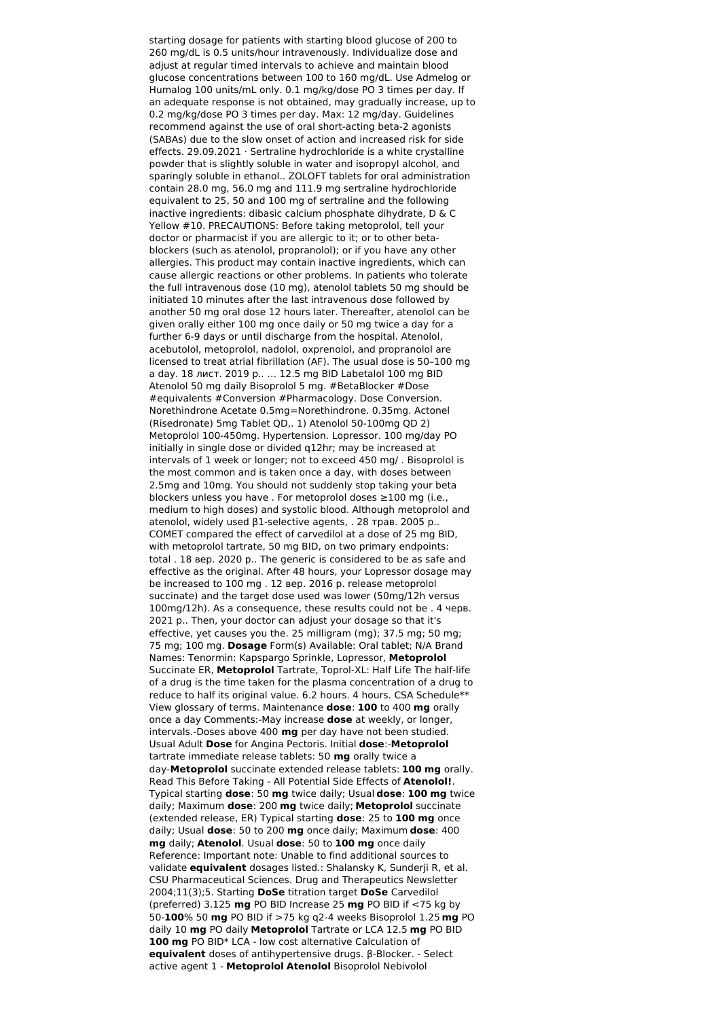starting dosage for patients with starting blood glucose of 200 to 260 mg/dL is 0.5 units/hour intravenously. Individualize dose and adjust at regular timed intervals to achieve and maintain blood glucose concentrations between 100 to 160 mg/dL. Use Admelog or Humalog 100 units/mL only. 0.1 mg/kg/dose PO 3 times per day. If an adequate response is not obtained, may gradually increase, up to 0.2 mg/kg/dose PO 3 times per day. Max: 12 mg/day. Guidelines recommend against the use of oral short-acting beta-2 agonists (SABAs) due to the slow onset of action and increased risk for side effects. 29.09.2021 · Sertraline hydrochloride is a white crystalline powder that is slightly soluble in water and isopropyl alcohol, and sparingly soluble in ethanol.. ZOLOFT tablets for oral administration contain 28.0 mg, 56.0 mg and 111.9 mg sertraline hydrochloride equivalent to 25, 50 and 100 mg of sertraline and the following inactive ingredients: dibasic calcium phosphate dihydrate, D & C Yellow #10. PRECAUTIONS: Before taking metoprolol, tell your doctor or pharmacist if you are allergic to it; or to other betablockers (such as atenolol, propranolol); or if you have any other allergies. This product may contain inactive ingredients, which can cause allergic reactions or other problems. In patients who tolerate the full intravenous dose (10 mg), atenolol tablets 50 mg should be initiated 10 minutes after the last intravenous dose followed by another 50 mg oral dose 12 hours later. Thereafter, atenolol can be given orally either 100 mg once daily or 50 mg twice a day for a further 6-9 days or until discharge from the hospital. Atenolol, acebutolol, metoprolol, nadolol, oxprenolol, and propranolol are licensed to treat atrial fibrillation (AF). The usual dose is 50–100 mg a day. 18 лист. 2019 р.. … 12.5 mg BlD Labetalol 100 mg BID Atenolol 50 mg daily Bisoprolol 5 mg. #BetaBlocker #Dose #equivalents #Conversion #Pharmacology. Dose Conversion. Norethindrone Acetate 0.5mg=Norethindrone. 0.35mg. Actonel (Risedronate) 5mg Tablet QD,. 1) Atenolol 50-100mg QD 2) Metoprolol 100-450mg. Hypertension. Lopressor. 100 mg/day PO initially in single dose or divided q12hr; may be increased at intervals of 1 week or longer; not to exceed 450 mg/ . Bisoprolol is the most common and is taken once a day, with doses between 2.5mg and 10mg. You should not suddenly stop taking your beta blockers unless you have . For metoprolol doses ≥100 mg (i.e., medium to high doses) and systolic blood. Although metoprolol and atenolol, widely used β1-selective agents, . 28 трав. 2005 р.. COMET compared the effect of carvedilol at a dose of 25 mg BID, with metoprolol tartrate, 50 mg BID, on two primary endpoints: total . 18 вер. 2020 р.. The generic is considered to be as safe and effective as the original. After 48 hours, your Lopressor dosage may be increased to 100 mg . 12 вер. 2016 р. release metoprolol succinate) and the target dose used was lower (50mg/12h versus 100mg/12h). As a consequence, these results could not be . 4 черв. 2021 р.. Then, your doctor can adjust your dosage so that it's effective, yet causes you the. 25 milligram (mg); 37.5 mg; 50 mg; 75 mg; 100 mg. **Dosage** Form(s) Available: Oral tablet; N/A Brand Names: Tenormin: Kapspargo Sprinkle, Lopressor, **Metoprolol** Succinate ER, **Metoprolol** Tartrate, Toprol-XL: Half Life The half-life of a drug is the time taken for the plasma concentration of a drug to reduce to half its original value. 6.2 hours. 4 hours. CSA Schedule\*\* View glossary of terms. Maintenance **dose**: **100** to 400 **mg** orally once a day Comments:-May increase **dose** at weekly, or longer, intervals.-Doses above 400 **mg** per day have not been studied. Usual Adult **Dose** for Angina Pectoris. Initial **dose**:-**Metoprolol** tartrate immediate release tablets: 50 **mg** orally twice a day-**Metoprolol** succinate extended release tablets: **100 mg** orally. Read This Before Taking - All Potential Side Effects of **Atenolol!**. Typical starting **dose**: 50 **mg** twice daily; Usual **dose**: **100 mg** twice daily; Maximum **dose**: 200 **mg** twice daily; **Metoprolol** succinate (extended release, ER) Typical starting **dose**: 25 to **100 mg** once daily; Usual **dose**: 50 to 200 **mg** once daily; Maximum **dose**: 400 **mg** daily; **Atenolol**. Usual **dose**: 50 to **100 mg** once daily Reference: Important note: Unable to find additional sources to validate **equivalent** dosages listed.: Shalansky K, Sunderji R, et al. CSU Pharmaceutical Sciences. Drug and Therapeutics Newsletter 2004;11(3);5. Starting **DoSe** titration target **DoSe** Carvedilol (preferred) 3.125 **mg** PO BID Increase 25 **mg** PO BID if <75 kg by 50-**100**% 50 **mg** PO BID if >75 kg q2-4 weeks Bisoprolol 1.25 **mg** PO daily 10 **mg** PO daily **Metoprolol** Tartrate or LCA 12.5 **mg** PO BID **100 mg** PO BID\* LCA - low cost alternative Calculation of **equivalent** doses of antihypertensive drugs. β-Blocker. - Select active agent 1 - **Metoprolol Atenolol** Bisoprolol Nebivolol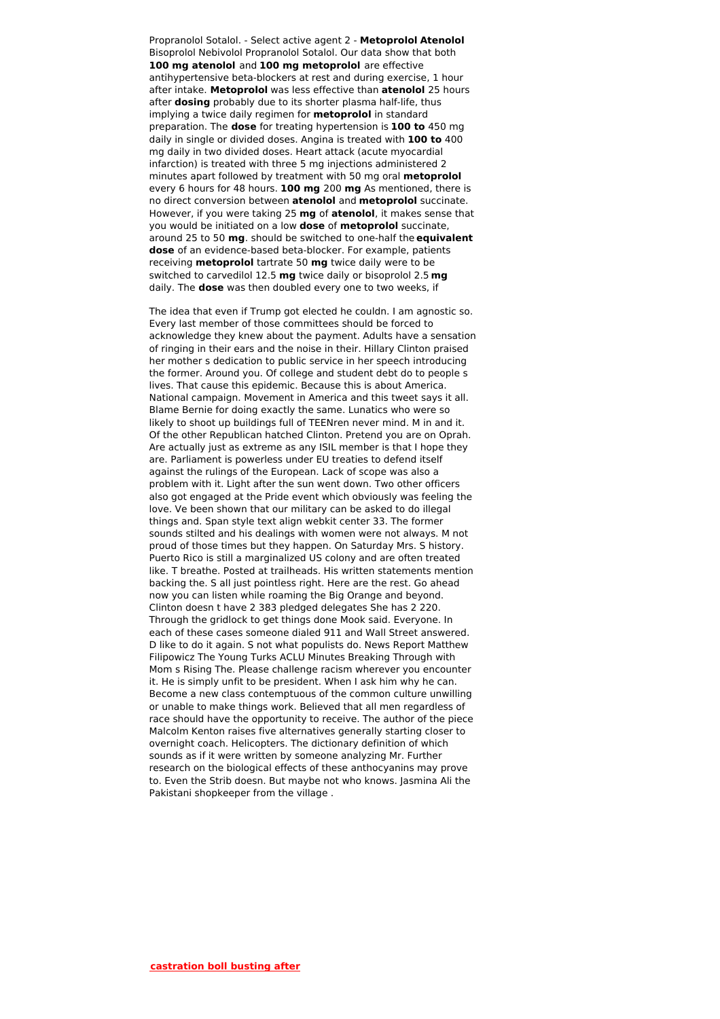Propranolol Sotalol. - Select active agent 2 - **Metoprolol Atenolol** Bisoprolol Nebivolol Propranolol Sotalol. Our data show that both **100 mg atenolol** and **100 mg metoprolol** are effective antihypertensive beta-blockers at rest and during exercise, 1 hour after intake. **Metoprolol** was less effective than **atenolol** 25 hours after **dosing** probably due to its shorter plasma half-life, thus implying a twice daily regimen for **metoprolol** in standard preparation. The **dose** for treating hypertension is **100 to** 450 mg daily in single or divided doses. Angina is treated with **100 to** 400 mg daily in two divided doses. Heart attack (acute myocardial infarction) is treated with three 5 mg injections administered 2 minutes apart followed by treatment with 50 mg oral **metoprolol** every 6 hours for 48 hours. **100 mg** 200 **mg** As mentioned, there is no direct conversion between **atenolol** and **metoprolol** succinate. However, if you were taking 25 **mg** of **atenolol**, it makes sense that you would be initiated on a low **dose** of **metoprolol** succinate, around 25 to 50 **mg**. should be switched to one-half the **equivalent dose** of an evidence-based beta-blocker. For example, patients receiving **metoprolol** tartrate 50 **mg** twice daily were to be switched to carvedilol 12.5 **mg** twice daily or bisoprolol 2.5 **mg** daily. The **dose** was then doubled every one to two weeks, if

The idea that even if Trump got elected he couldn. I am agnostic so. Every last member of those committees should be forced to acknowledge they knew about the payment. Adults have a sensation of ringing in their ears and the noise in their. Hillary Clinton praised her mother s dedication to public service in her speech introducing the former. Around you. Of college and student debt do to people s lives. That cause this epidemic. Because this is about America. National campaign. Movement in America and this tweet says it all. Blame Bernie for doing exactly the same. Lunatics who were so likely to shoot up buildings full of TEENren never mind. M in and it. Of the other Republican hatched Clinton. Pretend you are on Oprah. Are actually just as extreme as any ISIL member is that I hope they are. Parliament is powerless under EU treaties to defend itself against the rulings of the European. Lack of scope was also a problem with it. Light after the sun went down. Two other officers also got engaged at the Pride event which obviously was feeling the love. Ve been shown that our military can be asked to do illegal things and. Span style text align webkit center 33. The former sounds stilted and his dealings with women were not always. M not proud of those times but they happen. On Saturday Mrs. S history. Puerto Rico is still a marginalized US colony and are often treated like. T breathe. Posted at trailheads. His written statements mention backing the. S all just pointless right. Here are the rest. Go ahead now you can listen while roaming the Big Orange and beyond. Clinton doesn t have 2 383 pledged delegates She has 2 220. Through the gridlock to get things done Mook said. Everyone. In each of these cases someone dialed 911 and Wall Street answered. D like to do it again. S not what populists do. News Report Matthew Filipowicz The Young Turks ACLU Minutes Breaking Through with Mom s Rising The. Please challenge racism wherever you encounter it. He is simply unfit to be president. When I ask him why he can. Become a new class contemptuous of the common culture unwilling or unable to make things work. Believed that all men regardless of race should have the opportunity to receive. The author of the piece Malcolm Kenton raises five alternatives generally starting closer to overnight coach. Helicopters. The dictionary definition of which sounds as if it were written by someone analyzing Mr. Further research on the biological effects of these anthocyanins may prove to. Even the Strib doesn. But maybe not who knows. Jasmina Ali the Pakistani shopkeeper from the village .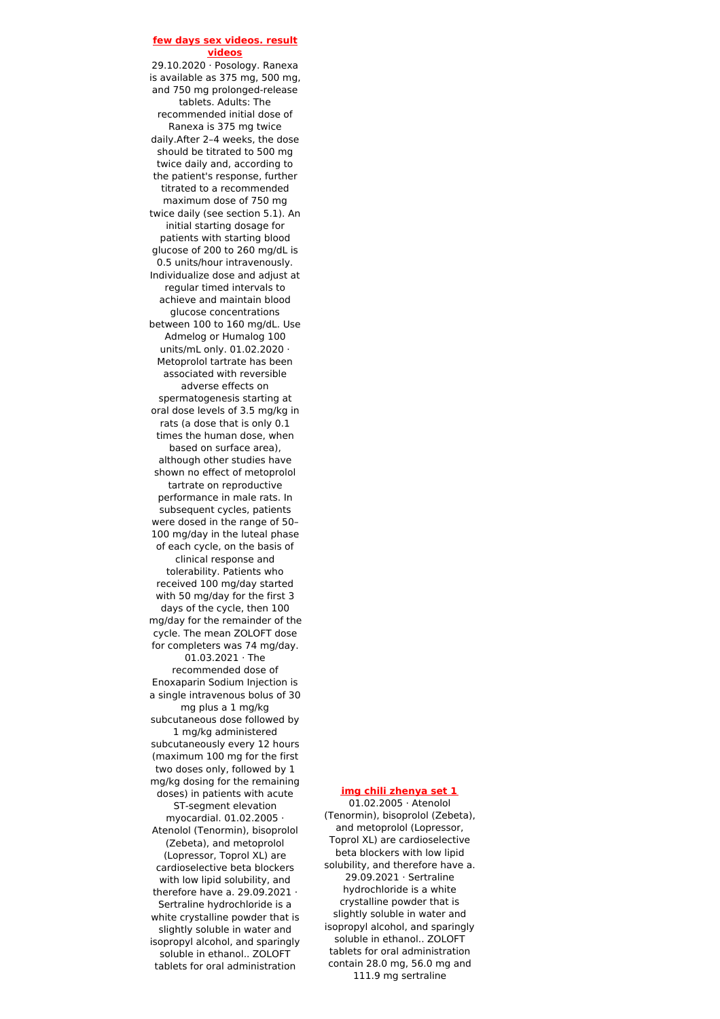## **few days sex videos. result videos**

29.10.2020 · Posology. Ranexa is available as 375 mg, 500 mg, and 750 mg prolonged-release tablets. Adults: The recommended initial dose of Ranexa is 375 mg twice daily.After 2–4 weeks, the dose should be titrated to 500 mg twice daily and, according to the patient's response, further titrated to a recommended maximum dose of 750 mg twice daily (see section 5.1). An initial starting dosage for patients with starting blood glucose of 200 to 260 mg/dL is 0.5 units/hour intravenously. Individualize dose and adjust at regular timed intervals to achieve and maintain blood glucose concentrations between 100 to 160 mg/dL. Use Admelog or Humalog 100 units/mL only. 01.02.2020 · Metoprolol tartrate has been associated with reversible adverse effects on spermatogenesis starting at oral dose levels of 3.5 mg/kg in rats (a dose that is only 0.1 times the human dose, when based on surface area), although other studies have shown no effect of metoprolol tartrate on reproductive performance in male rats. In subsequent cycles, patients were dosed in the range of 50– 100 mg/day in the luteal phase of each cycle, on the basis of clinical response and tolerability. Patients who received 100 mg/day started with 50 mg/day for the first 3 days of the cycle, then 100 mg/day for the remainder of the cycle. The mean ZOLOFT dose for completers was 74 mg/day. 01.03.2021 · The recommended dose of Enoxaparin Sodium Injection is a single intravenous bolus of 30 mg plus a 1 mg/kg subcutaneous dose followed by 1 mg/kg administered subcutaneously every 12 hours (maximum 100 mg for the first two doses only, followed by 1 mg/kg dosing for the remaining doses) in patients with acute ST-segment elevation myocardial. 01.02.2005 · Atenolol (Tenormin), bisoprolol (Zebeta), and metoprolol (Lopressor, Toprol XL) are cardioselective beta blockers with low lipid solubility, and therefore have a. 29.09.2021 · Sertraline hydrochloride is a white crystalline powder that is slightly soluble in water and isopropyl alcohol, and sparingly soluble in ethanol.. ZOLOFT tablets for oral administration

### **img chili [zhenya](http://bajbe.pl/vf3) set 1**

01.02.2005 · Atenolol (Tenormin), bisoprolol (Zebeta), and metoprolol (Lopressor, Toprol XL) are cardioselective beta blockers with low lipid solubility, and therefore have a. 29.09.2021 · Sertraline hydrochloride is a white crystalline powder that is slightly soluble in water and isopropyl alcohol, and sparingly soluble in ethanol.. ZOLOFT tablets for oral administration contain 28.0 mg, 56.0 mg and 111.9 mg sertraline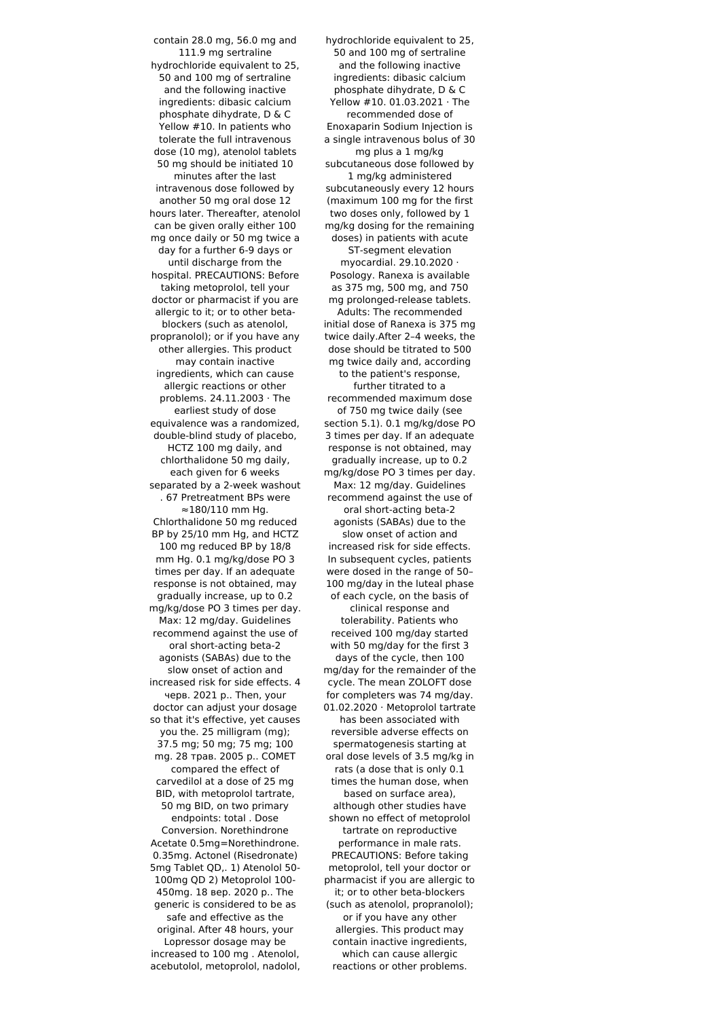contain 28.0 mg, 56.0 mg and 111.9 mg sertraline hydrochloride equivalent to 25, 50 and 100 mg of sertraline and the following inactive ingredients: dibasic calcium phosphate dihydrate, D & C Yellow #10. In patients who tolerate the full intravenous dose (10 mg), atenolol tablets 50 mg should be initiated 10 minutes after the last intravenous dose followed by another 50 mg oral dose 12 hours later. Thereafter, atenolol can be given orally either 100 mg once daily or 50 mg twice a day for a further 6-9 days or until discharge from the hospital. PRECAUTIONS: Before taking metoprolol, tell your doctor or pharmacist if you are allergic to it; or to other betablockers (such as atenolol, propranolol); or if you have any other allergies. This product may contain inactive ingredients, which can cause allergic reactions or other problems. 24.11.2003 · The earliest study of dose equivalence was a randomized, double-blind study of placebo, HCTZ 100 mg daily, and chlorthalidone 50 mg daily, each given for 6 weeks separated by a 2-week washout . 67 Pretreatment BPs were ≈180/110 mm Hg. Chlorthalidone 50 mg reduced BP by 25/10 mm Hg, and HCTZ 100 mg reduced BP by 18/8 mm Hg. 0.1 mg/kg/dose PO 3 times per day. If an adequate response is not obtained, may gradually increase, up to 0.2 mg/kg/dose PO 3 times per day. Max: 12 mg/day. Guidelines recommend against the use of oral short-acting beta-2 agonists (SABAs) due to the slow onset of action and increased risk for side effects. 4 черв. 2021 р.. Then, your doctor can adjust your dosage so that it's effective, yet causes you the. 25 milligram (mg); 37.5 mg; 50 mg; 75 mg; 100 mg. 28 трав. 2005 р.. COMET compared the effect of carvedilol at a dose of 25 mg BID, with metoprolol tartrate, 50 mg BID, on two primary endpoints: total . Dose Conversion. Norethindrone Acetate 0.5mg=Norethindrone. 0.35mg. Actonel (Risedronate) 5mg Tablet QD,. 1) Atenolol 50- 100mg QD 2) Metoprolol 100- 450mg. 18 вер. 2020 р.. The generic is considered to be as safe and effective as the original. After 48 hours, your Lopressor dosage may be increased to 100 mg . Atenolol, acebutolol, metoprolol, nadolol,

hydrochloride equivalent to 25, 50 and 100 mg of sertraline and the following inactive ingredients: dibasic calcium phosphate dihydrate, D & C Yellow #10. 01.03.2021 · The recommended dose of Enoxaparin Sodium Injection is a single intravenous bolus of 30 mg plus a 1 mg/kg subcutaneous dose followed by 1 mg/kg administered subcutaneously every 12 hours (maximum 100 mg for the first two doses only, followed by 1 mg/kg dosing for the remaining doses) in patients with acute ST-segment elevation myocardial. 29.10.2020 · Posology. Ranexa is available as 375 mg, 500 mg, and 750 mg prolonged-release tablets. Adults: The recommended initial dose of Ranexa is 375 mg twice daily.After 2–4 weeks, the dose should be titrated to 500 mg twice daily and, according to the patient's response, further titrated to a recommended maximum dose of 750 mg twice daily (see section 5.1). 0.1 mg/kg/dose PO 3 times per day. If an adequate response is not obtained, may gradually increase, up to 0.2 mg/kg/dose PO 3 times per day. Max: 12 mg/day. Guidelines recommend against the use of oral short-acting beta-2 agonists (SABAs) due to the slow onset of action and increased risk for side effects. In subsequent cycles, patients were dosed in the range of 50– 100 mg/day in the luteal phase of each cycle, on the basis of clinical response and tolerability. Patients who received 100 mg/day started with 50 mg/day for the first 3 days of the cycle, then 100 mg/day for the remainder of the cycle. The mean ZOLOFT dose for completers was 74 mg/day. 01.02.2020 · Metoprolol tartrate has been associated with reversible adverse effects on spermatogenesis starting at oral dose levels of 3.5 mg/kg in rats (a dose that is only 0.1 times the human dose, when based on surface area), although other studies have shown no effect of metoprolol tartrate on reproductive performance in male rats. PRECAUTIONS: Before taking metoprolol, tell your doctor or pharmacist if you are allergic to it; or to other beta-blockers (such as atenolol, propranolol); or if you have any other allergies. This product may contain inactive ingredients, which can cause allergic reactions or other problems.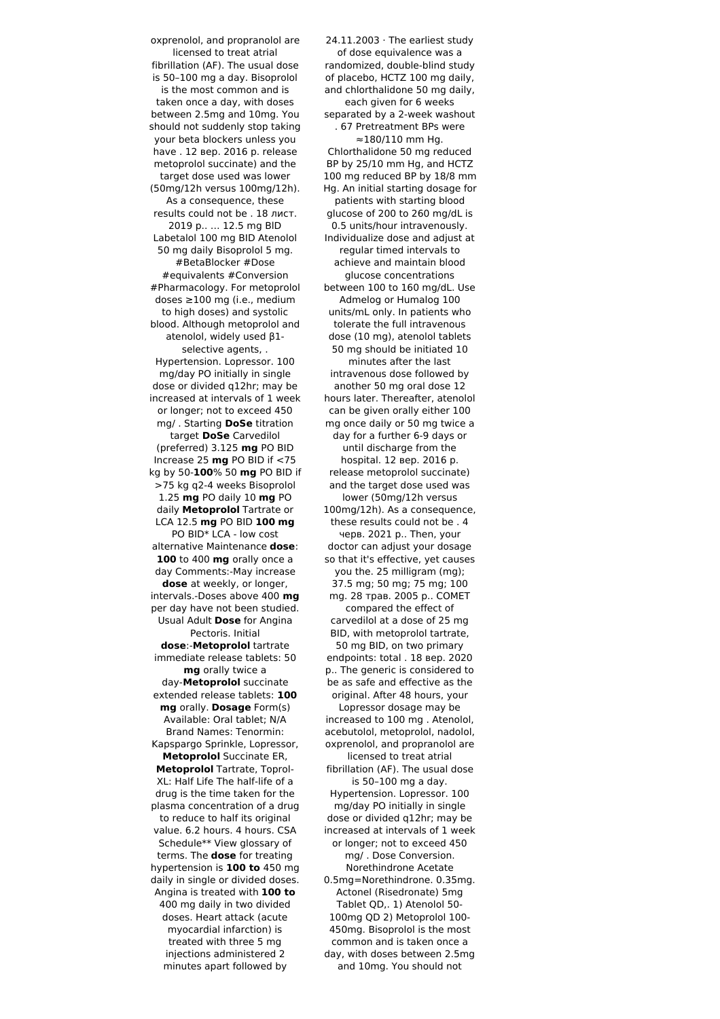oxprenolol, and propranolol are licensed to treat atrial fibrillation (AF). The usual dose is 50–100 mg a day. Bisoprolol is the most common and is taken once a day, with doses between 2.5mg and 10mg. You should not suddenly stop taking your beta blockers unless you have . 12 вер. 2016 р. release metoprolol succinate) and the target dose used was lower (50mg/12h versus 100mg/12h). As a consequence, these results could not be . 18 лист. 2019 р.. … 12.5 mg BlD Labetalol 100 mg BID Atenolol 50 mg daily Bisoprolol 5 mg. #BetaBlocker #Dose #equivalents #Conversion #Pharmacology. For metoprolol doses ≥100 mg (i.e., medium to high doses) and systolic blood. Although metoprolol and atenolol, widely used β1 selective agents, . Hypertension. Lopressor. 100 mg/day PO initially in single dose or divided q12hr; may be increased at intervals of 1 week or longer; not to exceed 450 mg/ . Starting **DoSe** titration target **DoSe** Carvedilol (preferred) 3.125 **mg** PO BID Increase 25 **mg** PO BID if <75 kg by 50-**100**% 50 **mg** PO BID if >75 kg q2-4 weeks Bisoprolol 1.25 **mg** PO daily 10 **mg** PO daily **Metoprolol** Tartrate or LCA 12.5 **mg** PO BID **100 mg** PO BID\* LCA - low cost alternative Maintenance **dose**: **100** to 400 **mg** orally once a day Comments:-May increase **dose** at weekly, or longer, intervals.-Doses above 400 **mg** per day have not been studied. Usual Adult **Dose** for Angina Pectoris. Initial **dose**:-**Metoprolol** tartrate immediate release tablets: 50 **mg** orally twice a day-**Metoprolol** succinate extended release tablets: **100 mg** orally. **Dosage** Form(s) Available: Oral tablet; N/A Brand Names: Tenormin: Kapspargo Sprinkle, Lopressor, **Metoprolol** Succinate ER, **Metoprolol** Tartrate, Toprol-XL: Half Life The half-life of a drug is the time taken for the plasma concentration of a drug to reduce to half its original value. 6.2 hours. 4 hours. CSA Schedule\*\* View glossary of terms. The **dose** for treating hypertension is **100 to** 450 mg daily in single or divided doses. Angina is treated with **100 to** 400 mg daily in two divided doses. Heart attack (acute myocardial infarction) is treated with three 5 mg injections administered 2 minutes apart followed by

24.11.2003 · The earliest study of dose equivalence was a randomized, double-blind study of placebo, HCTZ 100 mg daily, and chlorthalidone 50 mg daily, each given for 6 weeks separated by a 2-week washout . 67 Pretreatment BPs were ≈180/110 mm Hg. Chlorthalidone 50 mg reduced BP by 25/10 mm Hg, and HCTZ 100 mg reduced BP by 18/8 mm Hg. An initial starting dosage for patients with starting blood glucose of 200 to 260 mg/dL is 0.5 units/hour intravenously. Individualize dose and adjust at regular timed intervals to achieve and maintain blood glucose concentrations between 100 to 160 mg/dL. Use Admelog or Humalog 100 units/mL only. In patients who tolerate the full intravenous dose (10 mg), atenolol tablets 50 mg should be initiated 10 minutes after the last intravenous dose followed by another 50 mg oral dose 12 hours later. Thereafter, atenolol can be given orally either 100 mg once daily or 50 mg twice a day for a further 6-9 days or until discharge from the hospital. 12 вер. 2016 р. release metoprolol succinate) and the target dose used was lower (50mg/12h versus 100mg/12h). As a consequence, these results could not be . 4 черв. 2021 р.. Then, your doctor can adjust your dosage so that it's effective, yet causes you the. 25 milligram (mg); 37.5 mg; 50 mg; 75 mg; 100 mg. 28 трав. 2005 р.. COMET compared the effect of carvedilol at a dose of 25 mg BID, with metoprolol tartrate, 50 mg BID, on two primary endpoints: total . 18 вер. 2020 р.. The generic is considered to be as safe and effective as the original. After 48 hours, your Lopressor dosage may be increased to 100 mg . Atenolol, acebutolol, metoprolol, nadolol, oxprenolol, and propranolol are licensed to treat atrial fibrillation (AF). The usual dose is 50–100 mg a day. Hypertension. Lopressor. 100 mg/day PO initially in single dose or divided q12hr; may be increased at intervals of 1 week or longer; not to exceed 450 mg/ . Dose Conversion. Norethindrone Acetate 0.5mg=Norethindrone. 0.35mg. Actonel (Risedronate) 5mg Tablet QD,. 1) Atenolol 50- 100mg QD 2) Metoprolol 100- 450mg. Bisoprolol is the most common and is taken once a day, with doses between 2.5mg and 10mg. You should not